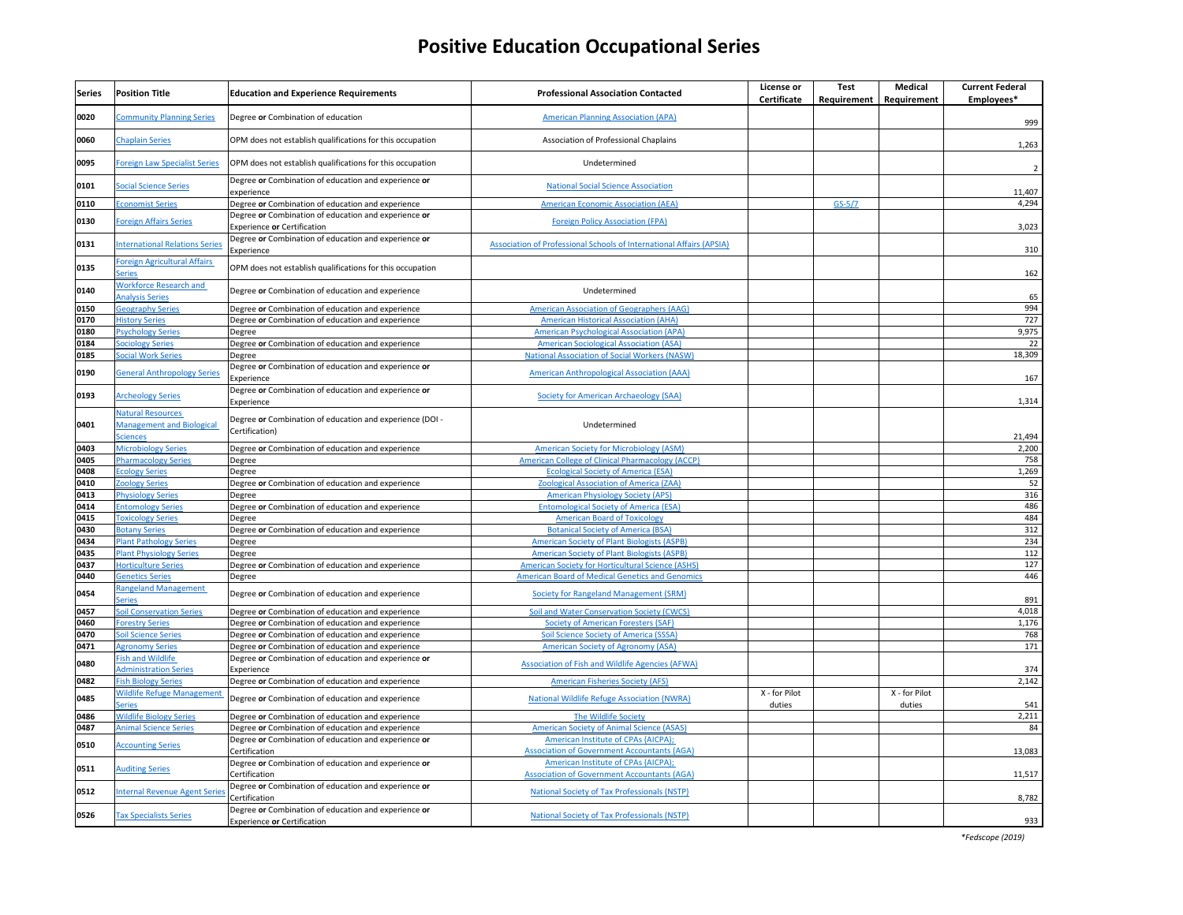| <b>Series</b> | <b>Position Title</b>                                                           | <b>Education and Experience Requirements</b>                                               | <b>Professional Association Contacted</b>                                                 | License or<br>Certificate | <b>Test</b><br>Requirement | <b>Medical</b><br>Requirement | <b>Current Federal</b><br>Employees* |
|---------------|---------------------------------------------------------------------------------|--------------------------------------------------------------------------------------------|-------------------------------------------------------------------------------------------|---------------------------|----------------------------|-------------------------------|--------------------------------------|
| 0020          | <b>Community Planning Series</b>                                                | Degree or Combination of education                                                         | <b>American Planning Association (APA)</b>                                                |                           |                            |                               | 999                                  |
| 0060          | <b>Chaplain Series</b>                                                          | OPM does not establish qualifications for this occupation                                  | Association of Professional Chaplains                                                     |                           |                            |                               | 1,263                                |
| 0095          | <b>Foreign Law Specialist Series</b>                                            | OPM does not establish qualifications for this occupation                                  | Undetermined                                                                              |                           |                            |                               |                                      |
| 0101          | <b>Social Science Series</b>                                                    | Degree or Combination of education and experience or<br>experience                         | <b>National Social Science Association</b>                                                |                           |                            |                               | 11,407                               |
| 0110          | <b>Economist Series</b>                                                         | Degree or Combination of education and experience                                          | <b>American Economic Association (AEA)</b>                                                |                           | $GS-5/7$                   |                               | 4,294                                |
| 0130          | <b>Foreign Affairs Series</b>                                                   | Degree or Combination of education and experience or<br><b>Experience or Certification</b> | <b>Foreign Policy Association (FPA)</b>                                                   |                           |                            |                               | 3,023                                |
| 0131          | <b>International Relations Series</b>                                           | Degree or Combination of education and experience or<br>Experience                         | Association of Professional Schools of International Affairs (APSIA)                      |                           |                            |                               | 310                                  |
| 0135          | <b>Foreign Agricultural Affairs</b><br><b>Series</b>                            | OPM does not establish qualifications for this occupation                                  |                                                                                           |                           |                            |                               | 162                                  |
| 0140          | <b>Workforce Research and</b><br><b>Analysis Series</b>                         | Degree or Combination of education and experience                                          | Undetermined                                                                              |                           |                            |                               | 65                                   |
| 0150          | <b>Geography Series</b>                                                         | Degree or Combination of education and experience                                          | <b>American Association of Geographers (AAG)</b>                                          |                           |                            |                               | 994                                  |
| 0170          | <b>History Series</b>                                                           | Degree or Combination of education and experience                                          | <b>American Historical Association (AHA)</b>                                              |                           |                            |                               | 727                                  |
| 0180          | <b>Psychology Series</b>                                                        | Degree                                                                                     | <b>American Psychological Association (APA)</b>                                           |                           |                            |                               | 9,975                                |
| 0184          | <b>Sociology Series</b>                                                         | Degree or Combination of education and experience                                          | <b>American Sociological Association (ASA)</b>                                            |                           |                            |                               | 22                                   |
| 0185          | <b>Social Work Series</b>                                                       | Degree                                                                                     | <b>National Association of Social Workers (NASW)</b>                                      |                           |                            |                               | 18,309                               |
| 0190          | <b>General Anthropology Series</b>                                              | Degree or Combination of education and experience or<br>Experience                         | <b>American Anthropological Association (AAA)</b>                                         |                           |                            |                               | 167                                  |
| 0193          | <b>Archeology Series</b>                                                        | Degree or Combination of education and experience or<br>Experience                         | <b>Society for American Archaeology (SAA)</b>                                             |                           |                            |                               | 1,314                                |
| 0401          | <b>Natural Resources</b><br><b>Management and Biological</b><br><b>Sciences</b> | Degree or Combination of education and experience (DOI -<br>Certification)                 | Undetermined                                                                              |                           |                            |                               | 21,494                               |
| 0403          | <b>Microbiology Series</b>                                                      | Degree or Combination of education and experience                                          | <b>American Society for Microbiology (ASM)</b>                                            |                           |                            |                               | 2,200                                |
| 0405          | <b>Pharmacology Series</b>                                                      | Degree                                                                                     | <b>American College of Clinical Pharmacology (ACCP)</b>                                   |                           |                            |                               | 758                                  |
| 0408          | <b>Ecology Series</b>                                                           | Degree                                                                                     | <b>Ecological Society of America (ESA)</b>                                                |                           |                            |                               | 1,269                                |
| 0410          | <b>Zoology Series</b>                                                           | Degree or Combination of education and experience                                          | <b>Zoological Association of America (ZAA)</b>                                            |                           |                            |                               | 52                                   |
| 0413          | <b>Physiology Series</b>                                                        | Degree                                                                                     | <b>American Physiology Society (APS)</b>                                                  |                           |                            |                               | 316                                  |
| 0414          | <b>Entomology Series</b>                                                        | Degree or Combination of education and experience                                          | <b>Entomological Society of America (ESA)</b>                                             |                           |                            |                               | 486                                  |
| 0415          | <b>Toxicology Series</b>                                                        | Degree                                                                                     | <b>American Board of Toxicology</b>                                                       |                           |                            |                               | 484                                  |
| 0430          | <b>Botany Series</b>                                                            | Degree or Combination of education and experience                                          | <b>Botanical Society of America (BSA)</b>                                                 |                           |                            |                               | 312                                  |
| 0434          | <b>Plant Pathology Series</b>                                                   | Degree                                                                                     | <b>American Society of Plant Biologists (ASPB)</b>                                        |                           |                            |                               | 234                                  |
| 0435          | <b>Plant Physiology Series</b>                                                  | Degree                                                                                     | <b>American Society of Plant Biologists (ASPB)</b>                                        |                           |                            |                               | 112                                  |
| 0437          | <b>Horticulture Series</b>                                                      | Degree or Combination of education and experience                                          | <b>American Society for Horticultural Science (ASHS)</b>                                  |                           |                            |                               | 127                                  |
| 0440          | <b>Genetics Series</b>                                                          | Degree                                                                                     | <b>American Board of Medical Genetics and Genomics</b>                                    |                           |                            |                               | 446                                  |
| 0454          | <b>Rangeland Management</b><br><b>Series</b>                                    | Degree or Combination of education and experience                                          | <b>Society for Rangeland Management (SRM)</b>                                             |                           |                            |                               | 891                                  |
| 0457          | <b>Soil Conservation Series</b>                                                 | Degree or Combination of education and experience                                          | Soil and Water Conservation Society (CWCS)                                                |                           |                            |                               | 4,018                                |
| 0460          | <b>Forestry Series</b>                                                          | Degree or Combination of education and experience                                          | <b>Society of American Foresters (SAF)</b>                                                |                           |                            |                               | 1,176                                |
| 0470          | <b>Soil Science Series</b>                                                      | Degree or Combination of education and experience                                          | <b>Soil Science Society of America (SSSA)</b>                                             |                           |                            |                               | 768                                  |
| 0471          | <b>Agronomy Series</b>                                                          | Degree or Combination of education and experience                                          | American Society of Agronomy (ASA)                                                        |                           |                            |                               | 171                                  |
| 0480          | <b>Fish and Wildlife</b><br><b>Administration Series</b>                        | Degree or Combination of education and experience or<br>Experience                         | Association of Fish and Wildlife Agencies (AFWA)                                          |                           |                            |                               | 374                                  |
| 0482          | <b>Fish Biology Series</b>                                                      | Degree or Combination of education and experience                                          | <b>American Fisheries Society (AFS)</b>                                                   |                           |                            |                               | 2,142                                |
| 0485          | <b>Wildlife Refuge Management</b><br><b>Series</b>                              | Degree or Combination of education and experience                                          | <b>National Wildlife Refuge Association (NWRA)</b>                                        | X - for Pilot<br>duties   |                            | X - for Pilot<br>duties       | 541                                  |
| 0486          | <b>Wildlife Biology Series</b>                                                  | Degree or Combination of education and experience                                          | The Wildlife Society                                                                      |                           |                            |                               | 2,211                                |
| 0487          | <b>Animal Science Series</b>                                                    | Degree or Combination of education and experience                                          | <b>American Society of Animal Science (ASAS)</b>                                          |                           |                            |                               | 84                                   |
| 0510          | <b>Accounting Series</b>                                                        | Degree or Combination of education and experience or<br>Certification                      | American Institute of CPAs (AICPA);<br><b>Association of Government Accountants (AGA)</b> |                           |                            |                               | 13,083                               |
| 0511          | <b>Auditing Series</b>                                                          | Degree or Combination of education and experience or<br>Certification                      | American Institute of CPAs (AICPA);<br><b>Association of Government Accountants (AGA)</b> |                           |                            |                               | 11,517                               |
| 0512          | <b>Internal Revenue Agent Series</b>                                            | Degree or Combination of education and experience or<br>Certification                      | <b>National Society of Tax Professionals (NSTP)</b>                                       |                           |                            |                               | 8,782                                |
| 0526          | <b>Tax Specialists Series</b>                                                   | Degree or Combination of education and experience or<br><b>Experience or Certification</b> | <b>National Society of Tax Professionals (NSTP)</b>                                       |                           |                            |                               | 933                                  |
|               |                                                                                 |                                                                                            |                                                                                           |                           |                            |                               |                                      |

*\*Fedscope (2019)*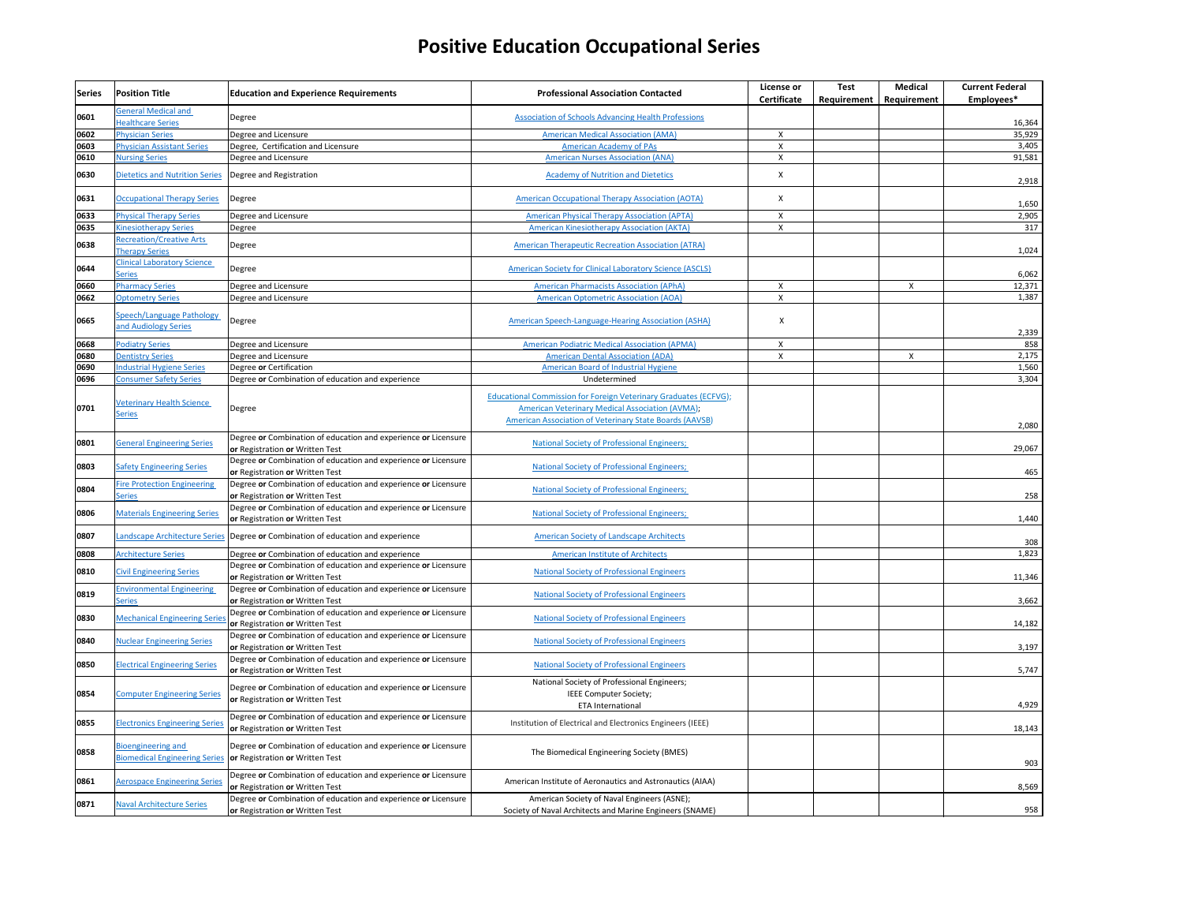| Series       | <b>Position Title</b>                                                                    | <b>Education and Experience Requirements</b>                                                                                           | <b>Professional Association Contacted</b>                                                                                                                                      | License or<br><b>Certificate</b>                       | <b>Test</b><br>Requirement | <b>Medical</b><br>Requirement | <b>Current Federal</b><br>Employees* |
|--------------|------------------------------------------------------------------------------------------|----------------------------------------------------------------------------------------------------------------------------------------|--------------------------------------------------------------------------------------------------------------------------------------------------------------------------------|--------------------------------------------------------|----------------------------|-------------------------------|--------------------------------------|
| 0601         | <b>General Medical and</b><br><b>Healthcare Series</b>                                   | Degree                                                                                                                                 | <b>Association of Schools Advancing Health Professions</b>                                                                                                                     |                                                        |                            |                               | 16,364                               |
| 0602         | <b>Physician Series</b>                                                                  | Degree and Licensure                                                                                                                   | <b>American Medical Association (AMA)</b>                                                                                                                                      | $\boldsymbol{\mathsf{X}}$                              |                            |                               | 35,929                               |
| 0603         | <b>Physician Assistant Series</b>                                                        | Degree, Certification and Licensure                                                                                                    | <b>American Academy of PAs</b>                                                                                                                                                 | $\boldsymbol{\mathsf{X}}$                              |                            |                               | 3,405                                |
| 0610         | <b>Nursing Series</b>                                                                    | Degree and Licensure                                                                                                                   | <b>American Nurses Association (ANA)</b>                                                                                                                                       | $\boldsymbol{\mathsf{X}}$                              |                            |                               | 91,581                               |
| 0630         | <b>Dietetics and Nutrition Series</b>                                                    | Degree and Registration                                                                                                                | <b>Academy of Nutrition and Dietetics</b>                                                                                                                                      | $\boldsymbol{\mathsf{X}}$                              |                            |                               | 2,918                                |
| 0631         | <b>Occupational Therapy Series</b>                                                       | Degree                                                                                                                                 | <b>American Occupational Therapy Association (AOTA)</b>                                                                                                                        | $\boldsymbol{\mathsf{X}}$                              |                            |                               | 1,650                                |
|              |                                                                                          |                                                                                                                                        |                                                                                                                                                                                |                                                        |                            |                               |                                      |
| 0633<br>0635 | <b>Physical Therapy Series</b>                                                           | Degree and Licensure                                                                                                                   | <b>American Physical Therapy Association (APTA)</b>                                                                                                                            | $\boldsymbol{\mathsf{X}}$<br>$\boldsymbol{\mathsf{X}}$ |                            |                               | 2,905<br>317                         |
| 0638         | <b>Kinesiotherapy Series</b><br><b>Recreation/Creative Arts</b><br><b>Therapy Series</b> | Degree<br>Degree                                                                                                                       | <b>American Kinesiotherapy Association (AKTA)</b><br><b>American Therapeutic Recreation Association (ATRA)</b>                                                                 |                                                        |                            |                               | 1,024                                |
| 0644         | <b>Clinical Laboratory Science</b><br>Series                                             | Degree                                                                                                                                 | <b>American Society for Clinical Laboratory Science (ASCLS)</b>                                                                                                                |                                                        |                            |                               | 6,062                                |
| 0660         | <b>Pharmacy Series</b>                                                                   | Degree and Licensure                                                                                                                   | <b>American Pharmacists Association (APhA)</b>                                                                                                                                 | $\boldsymbol{X}$                                       |                            | X                             | 12,371                               |
| 0662         |                                                                                          |                                                                                                                                        | <b>American Optometric Association (AOA)</b>                                                                                                                                   | $\boldsymbol{\mathsf{X}}$                              |                            |                               | 1,387                                |
| 0665         | <b>Optometry Series</b><br>Speech/Language Pathology<br>and Audiology Series             | Degree and Licensure<br>Degree                                                                                                         | American Speech-Language-Hearing Association (ASHA)                                                                                                                            | X                                                      |                            |                               | 2,339                                |
| 0668         | <b>Podiatry Series</b>                                                                   | Degree and Licensure                                                                                                                   | <b>American Podiatric Medical Association (APMA)</b>                                                                                                                           | $\boldsymbol{\mathsf{X}}$                              |                            |                               | 858                                  |
| 0680         | <b>Dentistry Series</b>                                                                  | Degree and Licensure                                                                                                                   | <b>American Dental Association (ADA)</b>                                                                                                                                       | $\boldsymbol{\mathsf{X}}$                              |                            | X                             | 2,175                                |
| 0690         | <b>Industrial Hygiene Series</b>                                                         | Degree or Certification                                                                                                                | <b>American Board of Industrial Hygiene</b>                                                                                                                                    |                                                        |                            |                               | 1,560                                |
| 0696         | <b>Consumer Safety Series</b>                                                            | Degree or Combination of education and experience                                                                                      | Undetermined                                                                                                                                                                   |                                                        |                            |                               | 3,304                                |
| 0701         | <b>Veterinary Health Science</b><br><b>Series</b>                                        | Degree                                                                                                                                 | Educational Commission for Foreign Veterinary Graduates (ECFVG);<br>American Veterinary Medical Association (AVMA);<br>American Association of Veterinary State Boards (AAVSB) |                                                        |                            |                               | 2,080                                |
| 0801         | <b>General Engineering Series</b>                                                        | Degree or Combination of education and experience or Licensure<br>or Registration or Written Test                                      | <b>National Society of Professional Engineers;</b>                                                                                                                             |                                                        |                            |                               | 29,067                               |
| 0803         | <b>Safety Engineering Series</b>                                                         | Degree or Combination of education and experience or Licensure<br>or Registration or Written Test                                      | <b>National Society of Professional Engineers;</b>                                                                                                                             |                                                        |                            |                               | 465                                  |
| 0804         | <b>Fire Protection Engineering</b><br><b>Series</b>                                      | Degree or Combination of education and experience or Licensure<br>or Registration or Written Test                                      | <b>National Society of Professional Engineers;</b>                                                                                                                             |                                                        |                            |                               | 258                                  |
| 0806         | <b>Materials Engineering Series</b>                                                      | Degree or Combination of education and experience or Licensure<br>or Registration or Written Test                                      | <b>National Society of Professional Engineers;</b>                                                                                                                             |                                                        |                            |                               | 1,440                                |
| 0807         |                                                                                          | Landscape Architecture Series Degree or Combination of education and experience                                                        | <b>American Society of Landscape Architects</b>                                                                                                                                |                                                        |                            |                               | 308                                  |
| 0808         | <b>Architecture Series</b>                                                               | Degree or Combination of education and experience                                                                                      | <b>American Institute of Architects</b>                                                                                                                                        |                                                        |                            |                               | 1,823                                |
| 0810         | <b>Civil Engineering Series</b>                                                          | Degree or Combination of education and experience or Licensure<br>or Registration or Written Test                                      | <b>National Society of Professional Engineers</b>                                                                                                                              |                                                        |                            |                               | 11,346                               |
| 0819         | <b>Environmental Engineering</b><br><b>Series</b>                                        | Degree or Combination of education and experience or Licensure<br>or Registration or Written Test                                      | <b>National Society of Professional Engineers</b>                                                                                                                              |                                                        |                            |                               | 3,662                                |
| 0830         | <b>Mechanical Engineering Series</b>                                                     | Degree or Combination of education and experience or Licensure<br>or Registration or Written Test                                      | <b>National Society of Professional Engineers</b>                                                                                                                              |                                                        |                            |                               | 14,182                               |
| 0840         | <b>Nuclear Engineering Series</b>                                                        | Degree or Combination of education and experience or Licensure<br>or Registration or Written Test                                      | <b>National Society of Professional Engineers</b>                                                                                                                              |                                                        |                            |                               | 3,197                                |
| 0850         | <b>Electrical Engineering Series</b>                                                     | Degree or Combination of education and experience or Licensure<br>or Registration or Written Test                                      | <b>National Society of Professional Engineers</b>                                                                                                                              |                                                        |                            |                               | 5,747                                |
| 0854         | <b>Computer Engineering Series</b>                                                       | Degree or Combination of education and experience or Licensure<br>or Registration or Written Test                                      | National Society of Professional Engineers;<br>IEEE Computer Society;<br><b>ETA International</b>                                                                              |                                                        |                            |                               | 4,929                                |
| 0855         | <b>Electronics Engineering Series</b>                                                    | Degree or Combination of education and experience or Licensure<br>or Registration or Written Test                                      | Institution of Electrical and Electronics Engineers (IEEE)                                                                                                                     |                                                        |                            |                               | 18,143                               |
| 0858         | Bioengineering and                                                                       | Degree or Combination of education and experience or Licensure<br><b>Biomedical Engineering Series or Registration or Written Test</b> | The Biomedical Engineering Society (BMES)                                                                                                                                      |                                                        |                            |                               | 903                                  |
| 0861         | <b>Aerospace Engineering Series</b>                                                      | Degree or Combination of education and experience or Licensure<br>or Registration or Written Test                                      | American Institute of Aeronautics and Astronautics (AIAA)                                                                                                                      |                                                        |                            |                               | 8,569                                |
| 0871         | <b>Naval Architecture Series</b>                                                         | Degree or Combination of education and experience or Licensure<br>or Registration or Written Test                                      | American Society of Naval Engineers (ASNE);<br>Society of Naval Architects and Marine Engineers (SNAME)                                                                        |                                                        |                            |                               | 958                                  |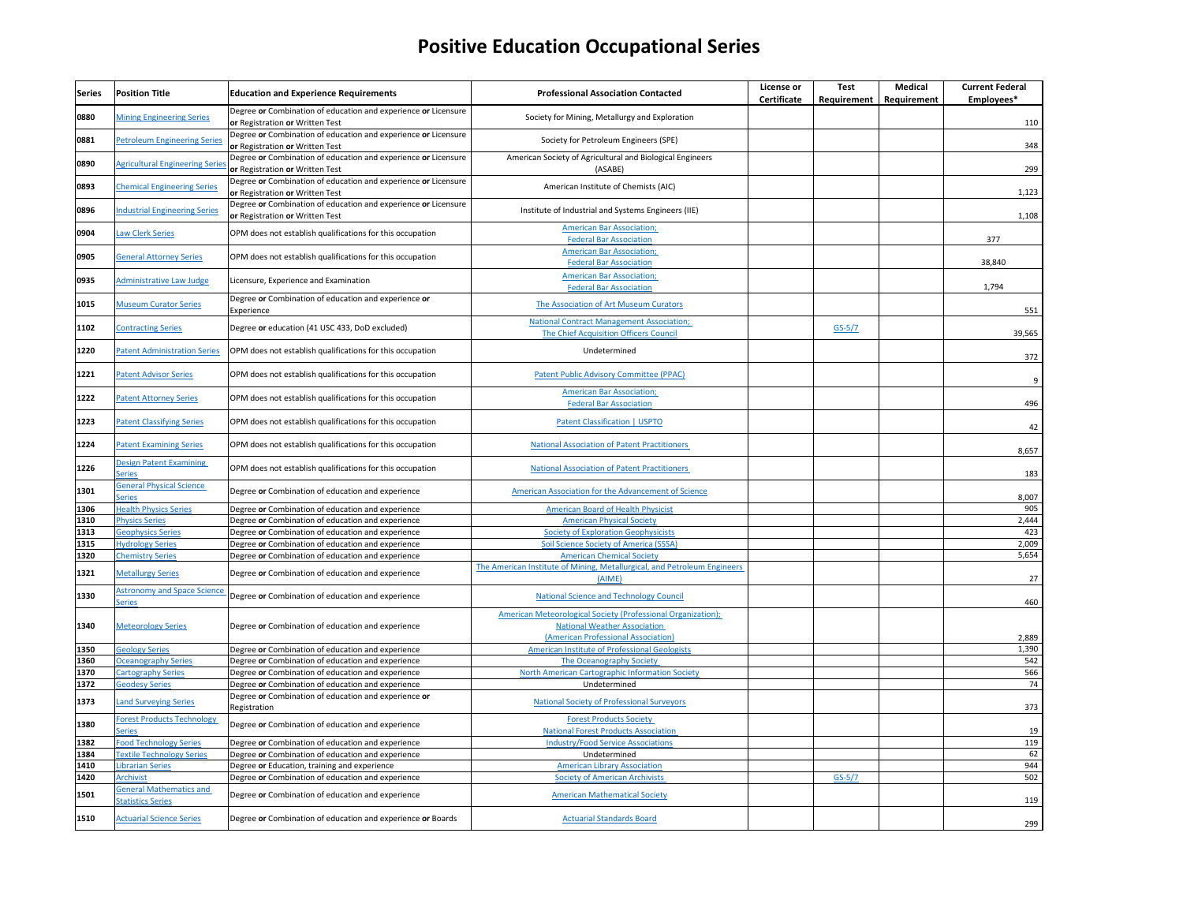| Series | <b>Position Title</b>                                      | <b>Education and Experience Requirements</b>                                                      | <b>Professional Association Contacted</b>                                                                                                         | License or<br><b>Certificate</b> | <b>Test</b><br>Requirement | <b>Medical</b><br>Requirement | <b>Current Federal</b><br>Employees* |
|--------|------------------------------------------------------------|---------------------------------------------------------------------------------------------------|---------------------------------------------------------------------------------------------------------------------------------------------------|----------------------------------|----------------------------|-------------------------------|--------------------------------------|
| 0880   | <b>Mining Engineering Series</b>                           | Degree or Combination of education and experience or Licensure<br>or Registration or Written Test | Society for Mining, Metallurgy and Exploration                                                                                                    |                                  |                            |                               | 110                                  |
| 0881   | <b>Petroleum Engineering Series</b>                        | Degree or Combination of education and experience or Licensure<br>or Registration or Written Test | Society for Petroleum Engineers (SPE)                                                                                                             |                                  |                            |                               | 348                                  |
| 0890   | <b>Agricultural Engineering Series</b>                     | Degree or Combination of education and experience or Licensure<br>or Registration or Written Test | American Society of Agricultural and Biological Engineers<br>(ASABE)                                                                              |                                  |                            |                               | 299                                  |
| 0893   | <b>Chemical Engineering Series</b>                         | Degree or Combination of education and experience or Licensure<br>or Registration or Written Test | American Institute of Chemists (AIC)                                                                                                              |                                  |                            |                               | 1,123                                |
| 0896   | <b>Industrial Engineering Series</b>                       | Degree or Combination of education and experience or Licensure<br>or Registration or Written Test | Institute of Industrial and Systems Engineers (IIE)                                                                                               |                                  |                            |                               | 1,108                                |
| 0904   | <b>Law Clerk Series</b>                                    | OPM does not establish qualifications for this occupation                                         | <b>American Bar Association;</b><br><b>Federal Bar Association</b>                                                                                |                                  |                            |                               | 377                                  |
| 0905   | <b>General Attorney Series</b>                             | OPM does not establish qualifications for this occupation                                         | <b>American Bar Association;</b><br><b>Federal Bar Association</b>                                                                                |                                  |                            |                               | 38,840                               |
| 0935   | <b>Administrative Law Judge</b>                            | Licensure, Experience and Examination                                                             | <b>American Bar Association;</b><br><b>Federal Bar Association</b>                                                                                |                                  |                            |                               | 1,794                                |
| 1015   | <b>Museum Curator Series</b>                               | Degree or Combination of education and experience or<br>Experience                                | The Association of Art Museum Curators                                                                                                            |                                  |                            |                               | 551                                  |
| 1102   | <b>Contracting Series</b>                                  | Degree or education (41 USC 433, DoD excluded)                                                    | <b>National Contract Management Association;</b><br>The Chief Acquisition Officers Council                                                        |                                  | $GS-5/7$                   |                               | 39,565                               |
| 1220   | <b>Patent Administration Series</b>                        | OPM does not establish qualifications for this occupation                                         | Undetermined                                                                                                                                      |                                  |                            |                               | 372                                  |
| 1221   | <b>Patent Advisor Series</b>                               | OPM does not establish qualifications for this occupation                                         | <b>Patent Public Advisory Committee (PPAC)</b>                                                                                                    |                                  |                            |                               | 9                                    |
| 1222   | <b>Patent Attorney Series</b>                              | OPM does not establish qualifications for this occupation                                         | <b>American Bar Association;</b><br><b>Federal Bar Association</b>                                                                                |                                  |                            |                               | 496                                  |
| 1223   | <b>Patent Classifying Series</b>                           | OPM does not establish qualifications for this occupation                                         | <b>Patent Classification   USPTO</b>                                                                                                              |                                  |                            |                               | 42                                   |
| 1224   | <b>Patent Examining Series</b>                             | OPM does not establish qualifications for this occupation                                         | <b>National Association of Patent Practitioners</b>                                                                                               |                                  |                            |                               | 8,657                                |
| 1226   | <b>Design Patent Examining</b><br><b>Series</b>            | OPM does not establish qualifications for this occupation                                         | <b>National Association of Patent Practitioners</b>                                                                                               |                                  |                            |                               | 183                                  |
| 1301   | <b>General Physical Science</b><br><b>Series</b>           | Degree or Combination of education and experience                                                 | American Association for the Advancement of Science                                                                                               |                                  |                            |                               | 8,007                                |
| 1306   | <b>Health Physics Series</b>                               | Degree or Combination of education and experience                                                 | <b>American Board of Health Physicist</b>                                                                                                         |                                  |                            |                               | 905                                  |
| 1310   | <b>Physics Series</b>                                      | Degree or Combination of education and experience                                                 | <b>American Physical Society</b>                                                                                                                  |                                  |                            |                               | 2,444                                |
| 1313   | <b>Geophysics Series</b>                                   | Degree or Combination of education and experience                                                 | <b>Society of Exploration Geophysicists</b>                                                                                                       |                                  |                            |                               | 423                                  |
| 1315   | <b>Hydrology Series</b>                                    | Degree or Combination of education and experience                                                 | <b>Soil Science Society of America (SSSA)</b>                                                                                                     |                                  |                            |                               | 2,009                                |
| 1320   | <b>Chemistry Series</b>                                    | Degree or Combination of education and experience                                                 | <b>American Chemical Society</b>                                                                                                                  |                                  |                            |                               | 5,654                                |
| 1321   | <b>Metallurgy Series</b>                                   | Degree or Combination of education and experience                                                 | The American Institute of Mining, Metallurgical, and Petroleum Engineers<br>(AIME)                                                                |                                  |                            |                               | 27                                   |
| 1330   | <b>Astronomy and Space Science</b><br><b>Series</b>        | Degree or Combination of education and experience                                                 | <b>National Science and Technology Council</b>                                                                                                    |                                  |                            |                               | 460                                  |
| 1340   | <b>Meteorology Series</b>                                  | Degree or Combination of education and experience                                                 | <b>American Meteorological Society (Professional Organization);</b><br><b>National Weather Association</b><br>(American Professional Association) |                                  |                            |                               | 2,889                                |
| 1350   | <b>Geology Series</b>                                      | Degree or Combination of education and experience                                                 | American Institute of Professional Geologists                                                                                                     |                                  |                            |                               | 1,390                                |
| 1360   | <b>Oceanography Series</b>                                 | Degree or Combination of education and experience                                                 | The Oceanography Society                                                                                                                          |                                  |                            |                               | 542                                  |
| 1370   | <b>Cartography Series</b>                                  | Degree or Combination of education and experience                                                 | North American Cartographic Information Society                                                                                                   |                                  |                            |                               | 566                                  |
| 1372   | <b>Geodesy Series</b>                                      | Degree or Combination of education and experience                                                 | Undetermined                                                                                                                                      |                                  |                            |                               | 74                                   |
| 1373   | <b>Land Surveying Series</b>                               | Degree or Combination of education and experience or<br>Registration                              | <b>National Society of Professional Surveyors</b>                                                                                                 |                                  |                            |                               | 373                                  |
| 1380   | <b>Forest Products Technology</b><br><b>Series</b>         | Degree or Combination of education and experience                                                 | <b>Forest Products Society</b><br><b>National Forest Products Association</b>                                                                     |                                  |                            |                               | 19                                   |
| 1382   | Food Technology Series                                     | Degree or Combination of education and experience                                                 | <b>Industry/Food Service Associations</b>                                                                                                         |                                  |                            |                               | 119                                  |
| 1384   | <b>Textile Technology Series</b>                           | Degree or Combination of education and experience                                                 | Undetermined                                                                                                                                      |                                  |                            |                               | 62                                   |
| 1410   | <b>Librarian Series</b>                                    | Degree or Education, training and experience                                                      | <b>American Library Association</b>                                                                                                               |                                  |                            |                               | 944                                  |
| 1420   | Archivist                                                  | Degree or Combination of education and experience                                                 | <b>Society of American Archivists</b>                                                                                                             |                                  | $GS-5/7$                   |                               | 502                                  |
| 1501   | <b>General Mathematics and</b><br><b>Statistics Series</b> | Degree or Combination of education and experience                                                 | <b>American Mathematical Society</b>                                                                                                              |                                  |                            |                               | 119                                  |
| 1510   | <b>Actuarial Science Series</b>                            | Degree or Combination of education and experience or Boards                                       | <b>Actuarial Standards Board</b>                                                                                                                  |                                  |                            |                               | 299                                  |